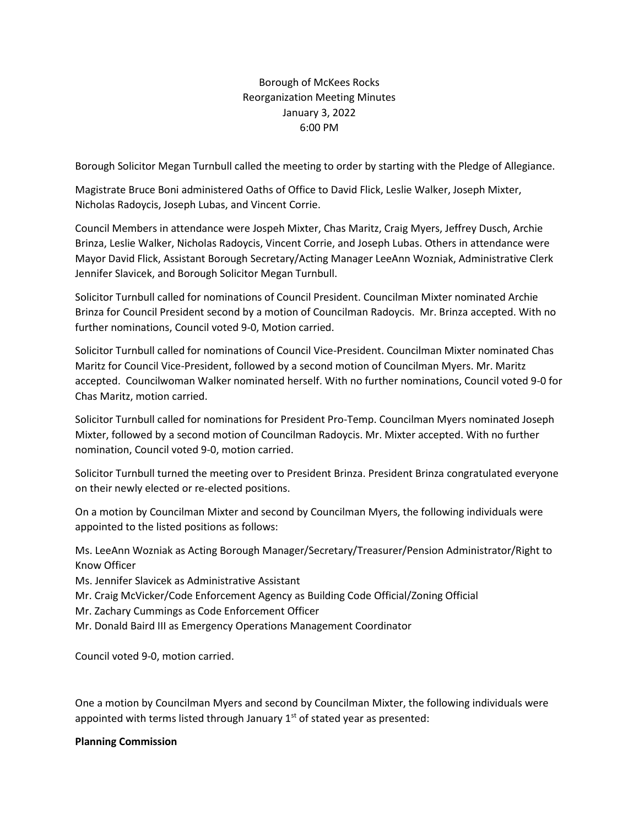# Borough of McKees Rocks Reorganization Meeting Minutes January 3, 2022 6:00 PM

Borough Solicitor Megan Turnbull called the meeting to order by starting with the Pledge of Allegiance.

Magistrate Bruce Boni administered Oaths of Office to David Flick, Leslie Walker, Joseph Mixter, Nicholas Radoycis, Joseph Lubas, and Vincent Corrie.

Council Members in attendance were Jospeh Mixter, Chas Maritz, Craig Myers, Jeffrey Dusch, Archie Brinza, Leslie Walker, Nicholas Radoycis, Vincent Corrie, and Joseph Lubas. Others in attendance were Mayor David Flick, Assistant Borough Secretary/Acting Manager LeeAnn Wozniak, Administrative Clerk Jennifer Slavicek, and Borough Solicitor Megan Turnbull.

Solicitor Turnbull called for nominations of Council President. Councilman Mixter nominated Archie Brinza for Council President second by a motion of Councilman Radoycis. Mr. Brinza accepted. With no further nominations, Council voted 9-0, Motion carried.

Solicitor Turnbull called for nominations of Council Vice-President. Councilman Mixter nominated Chas Maritz for Council Vice-President, followed by a second motion of Councilman Myers. Mr. Maritz accepted. Councilwoman Walker nominated herself. With no further nominations, Council voted 9-0 for Chas Maritz, motion carried.

Solicitor Turnbull called for nominations for President Pro-Temp. Councilman Myers nominated Joseph Mixter, followed by a second motion of Councilman Radoycis. Mr. Mixter accepted. With no further nomination, Council voted 9-0, motion carried.

Solicitor Turnbull turned the meeting over to President Brinza. President Brinza congratulated everyone on their newly elected or re-elected positions.

On a motion by Councilman Mixter and second by Councilman Myers, the following individuals were appointed to the listed positions as follows:

Ms. LeeAnn Wozniak as Acting Borough Manager/Secretary/Treasurer/Pension Administrator/Right to Know Officer

Ms. Jennifer Slavicek as Administrative Assistant

Mr. Craig McVicker/Code Enforcement Agency as Building Code Official/Zoning Official

Mr. Zachary Cummings as Code Enforcement Officer

Mr. Donald Baird III as Emergency Operations Management Coordinator

Council voted 9-0, motion carried.

One a motion by Councilman Myers and second by Councilman Mixter, the following individuals were appointed with terms listed through January  $1<sup>st</sup>$  of stated year as presented:

## **Planning Commission**